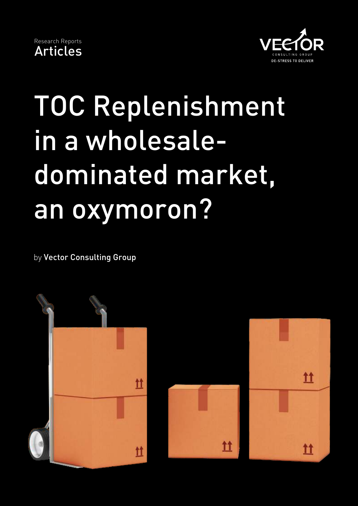



## TOC Replenishment in a wholesaledominated market, an oxymoron?

by Vector Consulting Group

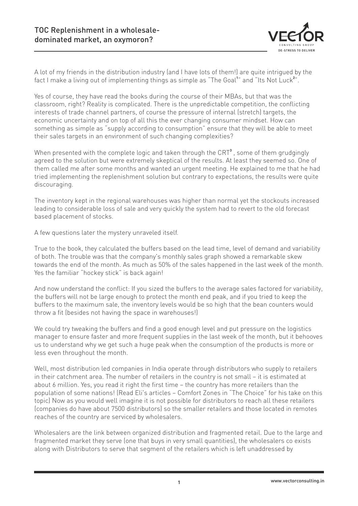

A lot of my friends in the distribution industry (and I have lots of them!) are quite intrigued by the fact I make a living out of implementing things as simple as "The Goal<sup>1</sup>" and "Its Not Luck<sup>2</sup>".

Yes of course, they have read the books during the course of their MBAs, but that was the classroom, right? Reality is complicated. There is the unpredictable competition, the conflicting interests of trade channel partners, of course the pressure of internal (stretch) targets, the economic uncertainty and on top of all this the ever changing consumer mindset. How can something as simple as "supply according to consumption" ensure that they will be able to meet their sales targets in an environment of such changing complexities?

When presented with the complete logic and taken through the CRT<sup>3</sup>, some of them grudgingly agreed to the solution but were extremely skeptical of the results. At least they seemed so. One of them called me after some months and wanted an urgent meeting. He explained to me that he had tried implementing the replenishment solution but contrary to expectations, the results were quite discouraging.

The inventory kept in the regional warehouses was higher than normal yet the stockouts increased leading to considerable loss of sale and very quickly the system had to revert to the old forecast based placement of stocks.

A few questions later the mystery unraveled itself.

True to the book, they calculated the buffers based on the lead time, level of demand and variability of both. The trouble was that the company's monthly sales graph showed a remarkable skew towards the end of the month. As much as 50% of the sales happened in the last week of the month. Yes the familiar "hockey stick" is back again!

And now understand the conflict: If you sized the buffers to the average sales factored for variability, the buffers will not be large enough to protect the month end peak, and if you tried to keep the buffers to the maximum sale, the inventory levels would be so high that the bean counters would throw a fit (besides not having the space in warehouses!)

We could try tweaking the buffers and find a good enough level and put pressure on the logistics manager to ensure faster and more frequent supplies in the last week of the month, but it behooves us to understand why we get such a huge peak when the consumption of the products is more or less even throughout the month.

Well, most distribution led companies in India operate through distributors who supply to retailers in their catchment area. The number of retailers in the country is not small – it is estimated at about 6 million. Yes, you read it right the first time – the country has more retailers than the population of some nations! (Read Eli's articles – Comfort Zones in "The Choice" for his take on this topic) Now as you would well imagine it is not possible for distributors to reach all these retailers (companies do have about 7500 distributors) so the smaller retailers and those located in remotes reaches of the country are serviced by wholesalers.

Wholesalers are the link between organized distribution and fragmented retail. Due to the large and fragmented market they serve (one that buys in very small quantities), the wholesalers co exists along with Distributors to serve that segment of the retailers which is left unaddressed by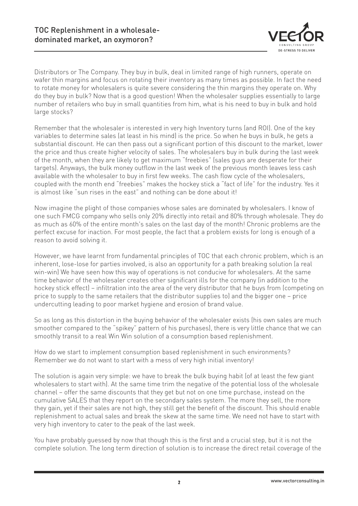

Distributors or The Company. They buy in bulk, deal in limited range of high runners, operate on wafer thin margins and focus on rotating their inventory as many times as possible. In fact the need to rotate money for wholesalers is quite severe considering the thin margins they operate on. Why do they buy in bulk? Now that is a good question! When the wholesaler supplies essentially to large number of retailers who buy in small quantities from him, what is his need to buy in bulk and hold large stocks?

Remember that the wholesaler is interested in very high Inventory turns (and ROI). One of the key variables to determine sales (at least in his mind) is the price. So when he buys in bulk, he gets a substantial discount. He can then pass out a significant portion of this discount to the market, lower the price and thus create higher velocity of sales. The wholesalers buy in bulk during the last week of the month, when they are likely to get maximum "freebies" (sales guys are desperate for their targets). Anyways, the bulk money outflow in the last week of the previous month leaves less cash available with the wholesaler to buy in first few weeks. The cash flow cycle of the wholesalers, coupled with the month end "freebies" makes the hockey stick a "fact of life" for the industry. Yes it is almost like "sun rises in the east" and nothing can be done about it!

Now imagine the plight of those companies whose sales are dominated by wholesalers. I know of one such FMCG company who sells only 20% directly into retail and 80% through wholesale. They do as much as 60% of the entire month's sales on the last day of the month! Chronic problems are the perfect excuse for inaction. For most people, the fact that a problem exists for long is enough of a reason to avoid solving it.

However, we have learnt from fundamental principles of TOC that each chronic problem, which is an inherent, lose-lose for parties involved, is also an opportunity for a path breaking solution (a real win-win) We have seen how this way of operations is not conducive for wholesalers. At the same time behavior of the wholesaler creates other significant ills for the company (in addition to the hockey stick effect) – infiltration into the area of the very distributor that he buys from (competing on price to supply to the same retailers that the distributor supplies to) and the bigger one – price undercutting leading to poor market hygiene and erosion of brand value.

So as long as this distortion in the buying behavior of the wholesaler exists (his own sales are much smoother compared to the "spikey" pattern of his purchases), there is very little chance that we can smoothly transit to a real Win Win solution of a consumption based replenishment.

How do we start to implement consumption based replenishment in such environments? Remember we do not want to start with a mess of very high initial inventory!

The solution is again very simple: we have to break the bulk buying habit (of at least the few giant wholesalers to start with). At the same time trim the negative of the potential loss of the wholesale channel – offer the same discounts that they get but not on one time purchase, instead on the cumulative SALES that they report on the secondary sales system. The more they sell, the more they gain, yet if their sales are not high, they still get the benefit of the discount. This should enable replenishment to actual sales and break the skew at the same time. We need not have to start with very high inventory to cater to the peak of the last week.

You have probably guessed by now that though this is the first and a crucial step, but it is not the complete solution. The long term direction of solution is to increase the direct retail coverage of the